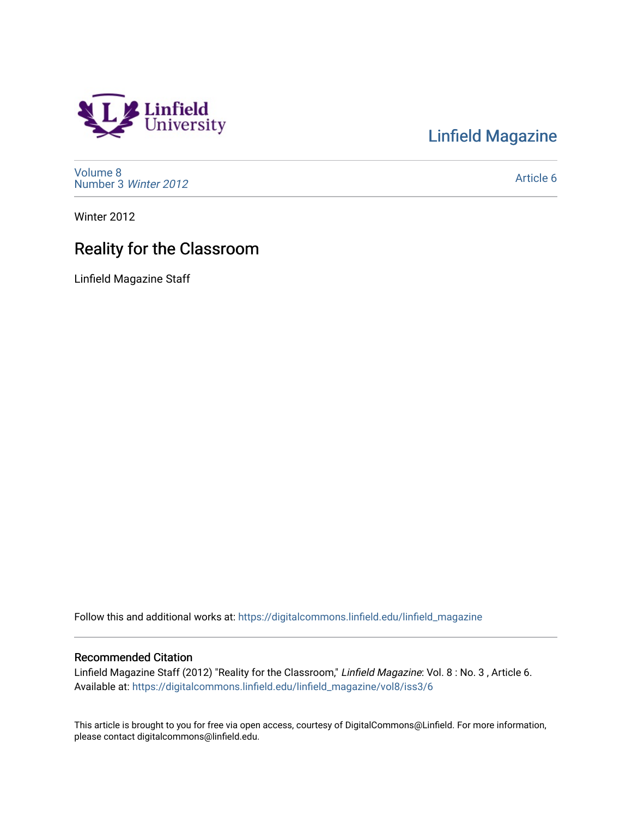## Linfield<br>University

[Linfield Magazine](https://digitalcommons.linfield.edu/linfield_magazine) 

[Volume 8](https://digitalcommons.linfield.edu/linfield_magazine/vol8) [Number 3](https://digitalcommons.linfield.edu/linfield_magazine/vol8/iss3) Winter 2012

[Article 6](https://digitalcommons.linfield.edu/linfield_magazine/vol8/iss3/6) 

Winter 2012

### Reality for the Classroom

Linfield Magazine Staff

Follow this and additional works at: [https://digitalcommons.linfield.edu/linfield\\_magazine](https://digitalcommons.linfield.edu/linfield_magazine?utm_source=digitalcommons.linfield.edu%2Flinfield_magazine%2Fvol8%2Fiss3%2F6&utm_medium=PDF&utm_campaign=PDFCoverPages) 

#### Recommended Citation

Linfield Magazine Staff (2012) "Reality for the Classroom," Linfield Magazine: Vol. 8 : No. 3 , Article 6. Available at: [https://digitalcommons.linfield.edu/linfield\\_magazine/vol8/iss3/6](https://digitalcommons.linfield.edu/linfield_magazine/vol8/iss3/6?utm_source=digitalcommons.linfield.edu%2Flinfield_magazine%2Fvol8%2Fiss3%2F6&utm_medium=PDF&utm_campaign=PDFCoverPages) 

This article is brought to you for free via open access, courtesy of DigitalCommons@Linfield. For more information, please contact digitalcommons@linfield.edu.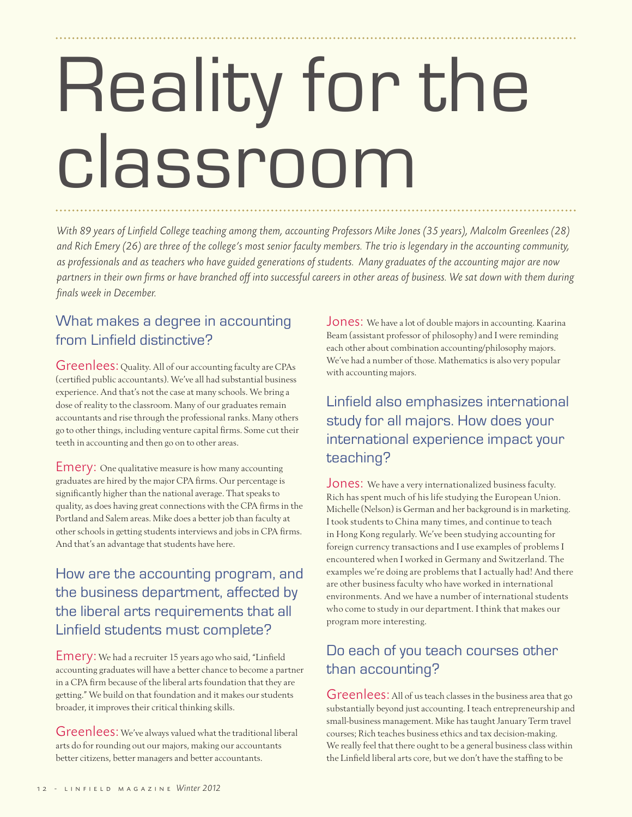# Reality for the classroom

*With 89 years of Linfield College teaching among them, accounting Professors Mike Jones (35 years), Malcolm Greenlees (28) and Rich Emery (26) are three of the college's most senior faculty members. The trio is legendary in the accounting community, as professionals and as teachers who have guided generations of students. Many graduates of the accounting major are now partners in their own firms or have branched off into successful careers in other areas of business. We sat down with them during finals week in December.*

#### What makes a degree in accounting from Linfield distinctive?

Greenlees: Quality. All of our accounting faculty are CPAs (certified public accountants). We've all had substantial business experience. And that's not the case at many schools. We bring a dose of reality to the classroom. Many of our graduates remain accountants and rise through the professional ranks. Many others go to other things, including venture capital firms. Some cut their teeth in accounting and then go on to other areas.

Emery: One qualitative measure is how many accounting graduates are hired by the major CPA firms. Our percentage is significantly higher than the national average. That speaks to quality, as does having great connections with the CPA firms in the Portland and Salem areas. Mike does a better job than faculty at other schools in getting students interviews and jobs in CPA firms. And that's an advantage that students have here.

How are the accounting program, and the business department, affected by the liberal arts requirements that all Linfield students must complete?

Emery: We had a recruiter 15 years ago who said, "Linfield accounting graduates will have a better chance to become a partner in a CPA firm because of the liberal arts foundation that they are getting." We build on that foundation and it makes our students broader, it improves their critical thinking skills.

Greenlees: We've always valued what the traditional liberal arts do for rounding out our majors, making our accountants better citizens, better managers and better accountants.

Jones: We have a lot of double majors in accounting. Kaarina Beam (assistant professor of philosophy) and I were reminding each other about combination accounting/philosophy majors. We've had a number of those. Mathematics is also very popular with accounting majors.

Linfield also emphasizes international study for all majors. How does your international experience impact your teaching?

Jones: We have a very internationalized business faculty. Rich has spent much of his life studying the European Union. Michelle (Nelson) is German and her background is in marketing. I took students to China many times, and continue to teach in Hong Kong regularly. We've been studying accounting for foreign currency transactions and I use examples of problems I encountered when I worked in Germany and Switzerland. The examples we're doing are problems that I actually had! And there are other business faculty who have worked in international environments. And we have a number of international students who come to study in our department. I think that makes our program more interesting.

#### Do each of you teach courses other than accounting?

Greenlees: All of us teach classes in the business area that go substantially beyond just accounting. I teach entrepreneurship and small-business management. Mike has taught January Term travel courses; Rich teaches business ethics and tax decision-making. We really feel that there ought to be a general business class within the Linfield liberal arts core, but we don't have the staffing to be